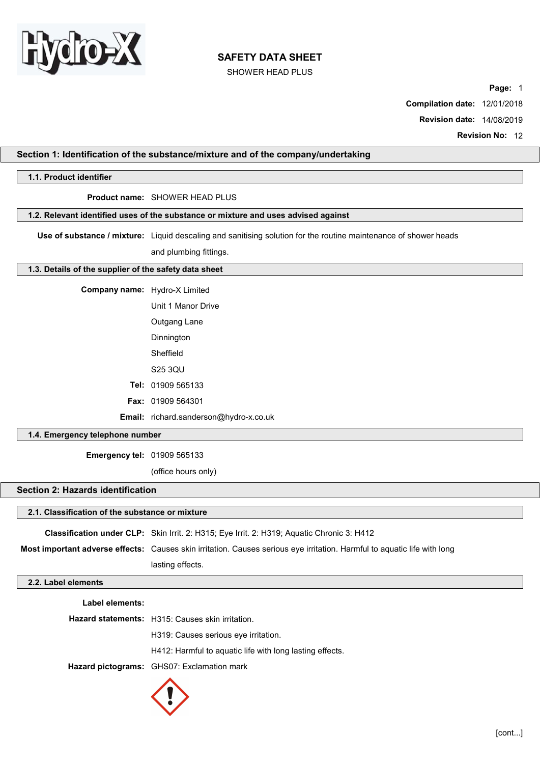

SHOWER HEAD PLUS

Page: 1

Compilation date: 12/01/2018

Revision date: 14/08/2019

Revision No: 12

# Section 1: Identification of the substance/mixture and of the company/undertaking 1.1. Product identifier Product name: SHOWER HEAD PLUS 1.2. Relevant identified uses of the substance or mixture and uses advised against Use of substance / mixture: Liquid descaling and sanitising solution for the routine maintenance of shower heads and plumbing fittings.

# 1.3. Details of the supplier of the safety data sheet

Company name: Hydro-X Limited

| Unit 1 Manor Drive       |
|--------------------------|
| Outgang Lane             |
| Dinnington               |
| Sheffield                |
| S25 3QU                  |
| <b>Tel: 01909 565133</b> |
| <b>Fax: 01909 564301</b> |

Email: richard.sanderson@hydro-x.co.uk

### 1.4. Emergency telephone number

Emergency tel: 01909 565133

(office hours only)

# Section 2: Hazards identification

# 2.1. Classification of the substance or mixture

Classification under CLP: Skin Irrit. 2: H315; Eye Irrit. 2: H319; Aquatic Chronic 3: H412 Most important adverse effects: Causes skin irritation. Causes serious eye irritation. Harmful to aquatic life with long lasting effects.

#### 2.2. Label elements

Label elements:

Hazard statements: H315: Causes skin irritation. H319: Causes serious eye irritation. H412: Harmful to aquatic life with long lasting effects. Hazard pictograms: GHS07: Exclamation mark

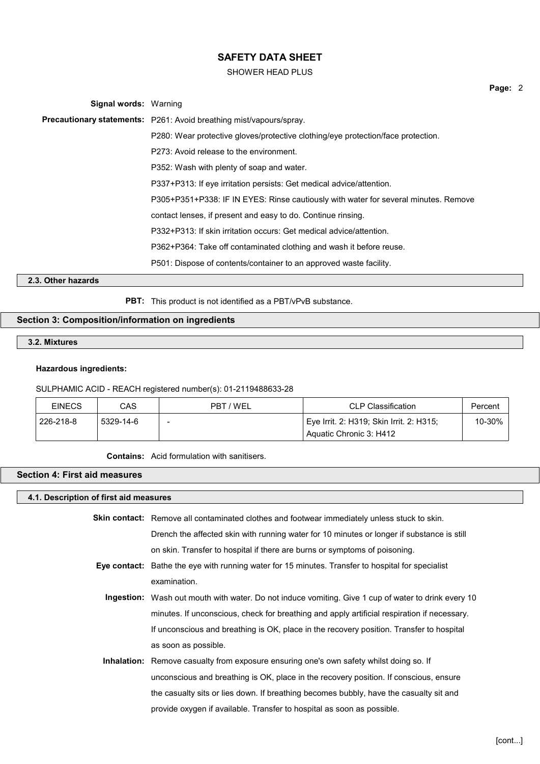#### SHOWER HEAD PLUS

| <b>Signal words: Warning</b> |                                                                                     |
|------------------------------|-------------------------------------------------------------------------------------|
|                              | <b>Precautionary statements:</b> P261: Avoid breathing mist/vapours/spray.          |
|                              | P280: Wear protective gloves/protective clothing/eye protection/face protection.    |
|                              | P273: Avoid release to the environment.                                             |
|                              | P352: Wash with plenty of soap and water.                                           |
|                              | P337+P313: If eye irritation persists: Get medical advice/attention.                |
|                              | P305+P351+P338: IF IN EYES: Rinse cautiously with water for several minutes. Remove |
|                              | contact lenses, if present and easy to do. Continue rinsing.                        |
|                              | P332+P313: If skin irritation occurs: Get medical advice/attention.                 |
|                              | P362+P364: Take off contaminated clothing and wash it before reuse.                 |
|                              | P501: Dispose of contents/container to an approved waste facility.                  |
| 2.3. Other hazards           |                                                                                     |

PBT: This product is not identified as a PBT/vPvB substance.

# Section 3: Composition/information on ingredients

3.2. Mixtures

#### Hazardous ingredients:

#### SULPHAMIC ACID - REACH registered number(s): 01-2119488633-28

| <b>EINECS</b> | CAS       | PBT / WEL | <b>CLP Classification</b>                | Percent |
|---------------|-----------|-----------|------------------------------------------|---------|
| 226-218-8     | 5329-14-6 |           | Eye Irrit. 2: H319; Skin Irrit. 2: H315; | 10-30%  |
|               |           |           | Aquatic Chronic 3: H412                  |         |

Contains: Acid formulation with sanitisers.

# Section 4: First aid measures

#### 4.1. Description of first aid measures

| Skin contact: Remove all contaminated clothes and footwear immediately unless stuck to skin. |
|----------------------------------------------------------------------------------------------|
| Drench the affected skin with running water for 10 minutes or longer if substance is still   |
| on skin. Transfer to hospital if there are burns or symptoms of poisoning.                   |

- Eye contact: Bathe the eye with running water for 15 minutes. Transfer to hospital for specialist examination.
	- Ingestion: Wash out mouth with water. Do not induce vomiting. Give 1 cup of water to drink every 10 minutes. If unconscious, check for breathing and apply artificial respiration if necessary. If unconscious and breathing is OK, place in the recovery position. Transfer to hospital as soon as possible.
	- Inhalation: Remove casualty from exposure ensuring one's own safety whilst doing so. If unconscious and breathing is OK, place in the recovery position. If conscious, ensure the casualty sits or lies down. If breathing becomes bubbly, have the casualty sit and provide oxygen if available. Transfer to hospital as soon as possible.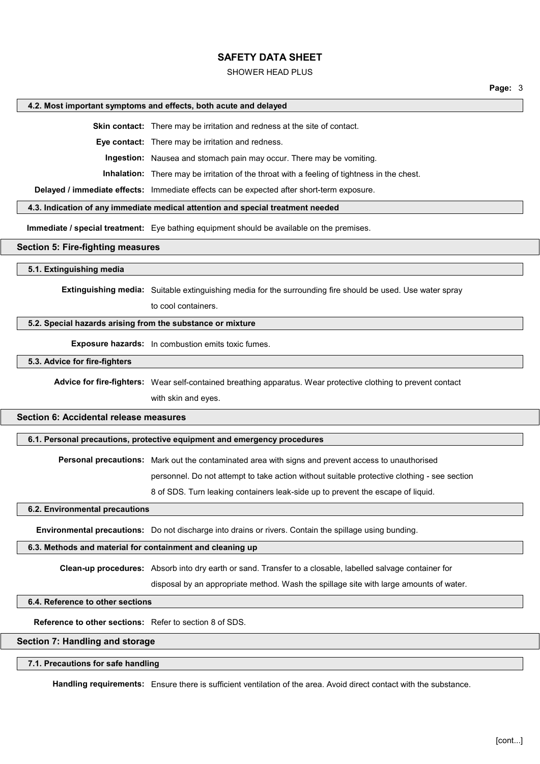#### SHOWER HEAD PLUS

#### 4.2. Most important symptoms and effects, both acute and delayed

Skin contact: There may be irritation and redness at the site of contact.

Eye contact: There may be irritation and redness.

Ingestion: Nausea and stomach pain may occur. There may be vomiting.

Inhalation: There may be irritation of the throat with a feeling of tightness in the chest.

Delayed / immediate effects: Immediate effects can be expected after short-term exposure.

#### 4.3. Indication of any immediate medical attention and special treatment needed

Immediate / special treatment: Eye bathing equipment should be available on the premises.

#### Section 5: Fire-fighting measures

#### 5.1. Extinguishing media

Extinguishing media: Suitable extinguishing media for the surrounding fire should be used. Use water spray

to cool containers.

#### 5.2. Special hazards arising from the substance or mixture

Exposure hazards: In combustion emits toxic fumes.

5.3. Advice for fire-fighters

Advice for fire-fighters: Wear self-contained breathing apparatus. Wear protective clothing to prevent contact

with skin and eyes.

### Section 6: Accidental release measures

6.1. Personal precautions, protective equipment and emergency procedures

Personal precautions: Mark out the contaminated area with signs and prevent access to unauthorised

personnel. Do not attempt to take action without suitable protective clothing - see section

8 of SDS. Turn leaking containers leak-side up to prevent the escape of liquid.

6.2. Environmental precautions

Environmental precautions: Do not discharge into drains or rivers. Contain the spillage using bunding.

#### 6.3. Methods and material for containment and cleaning up

Clean-up procedures: Absorb into dry earth or sand. Transfer to a closable, labelled salvage container for

disposal by an appropriate method. Wash the spillage site with large amounts of water.

#### 6.4. Reference to other sections

Reference to other sections: Refer to section 8 of SDS.

#### Section 7: Handling and storage

#### 7.1. Precautions for safe handling

Handling requirements: Ensure there is sufficient ventilation of the area. Avoid direct contact with the substance.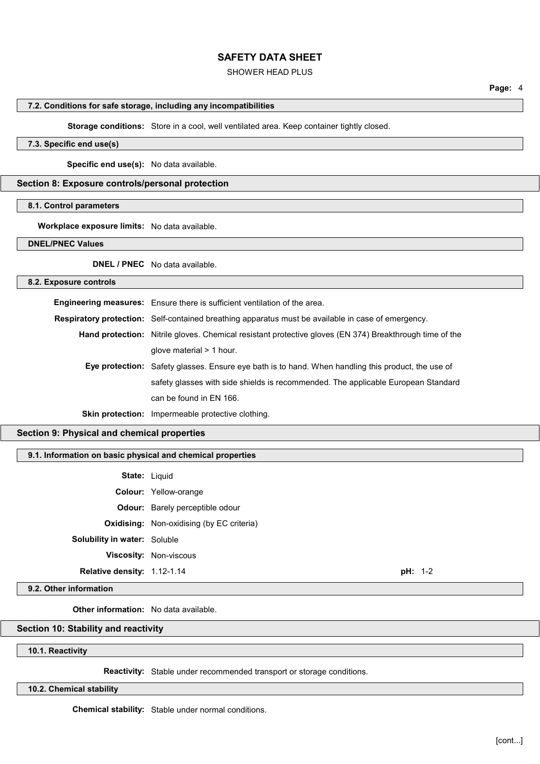#### SHOWER HEAD PLUS

#### 7.2. Conditions for safe storage, including any incompatibilities

Storage conditions: Store in a cool, well ventilated area. Keep container tightly closed.

# 7.3. Specific end use(s)

Specific end use(s): No data available.

#### Section 8: Exposure controls/personal protection

#### 8.1. Control parameters

Workplace exposure limits: No data available.

DNEL/PNEC Values

DNEL / PNEC No data available.

#### 8.2. Exposure controls

| Engineering measures: Ensure there is sufficient ventilation of the area.                                      |
|----------------------------------------------------------------------------------------------------------------|
| <b>Respiratory protection:</b> Self-contained breathing apparatus must be available in case of emergency.      |
| <b>Hand protection:</b> Nitrile gloves. Chemical resistant protective gloves (EN 374) Breakthrough time of the |
| glove material $> 1$ hour.                                                                                     |
| Eye protection: Safety glasses. Ensure eye bath is to hand. When handling this product, the use of             |
| safety glasses with side shields is recommended. The applicable European Standard                              |
| can be found in EN 166.                                                                                        |
| <b>Skin protection:</b> Impermeable protective clothing.                                                       |

#### Section 9: Physical and chemical properties

#### 9.1. Information on basic physical and chemical properties

|                                     | <b>State: Liquid</b>                             |     |         |
|-------------------------------------|--------------------------------------------------|-----|---------|
|                                     | <b>Colour:</b> Yellow-orange                     |     |         |
|                                     | <b>Odour:</b> Barely perceptible odour           |     |         |
|                                     | <b>Oxidising:</b> Non-oxidising (by EC criteria) |     |         |
| <b>Solubility in water: Soluble</b> |                                                  |     |         |
|                                     | <b>Viscosity: Non-viscous</b>                    |     |         |
| Relative density: 1.12-1.14         |                                                  | pH: | $1 - 2$ |

9.2. Other information

Other information: No data available.

# Section 10: Stability and reactivity

10.1. Reactivity

Reactivity: Stable under recommended transport or storage conditions.

10.2. Chemical stability

Chemical stability: Stable under normal conditions.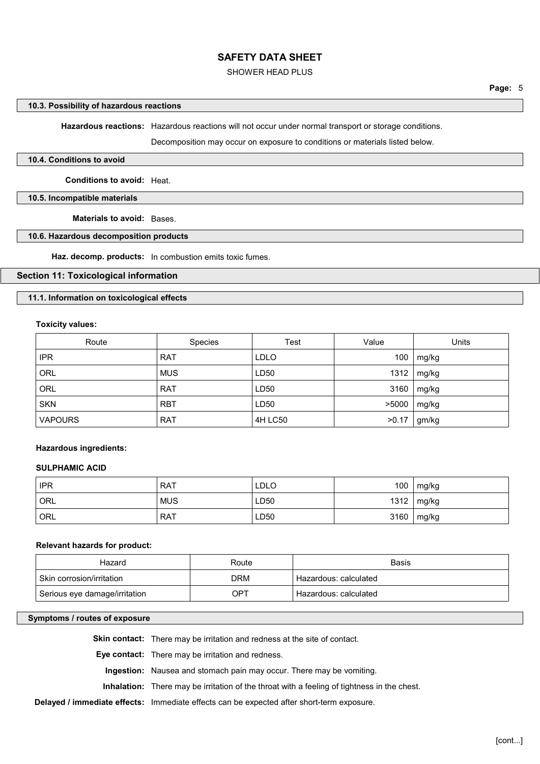#### SHOWER HEAD PLUS

Hazardous reactions: Hazardous reactions will not occur under normal transport or storage conditions.

Decomposition may occur on exposure to conditions or materials listed below.

#### 10.4. Conditions to avoid

Conditions to avoid: Heat.

#### 10.5. Incompatible materials

Materials to avoid: Bases.

#### 10.6. Hazardous decomposition products

Haz. decomp. products: In combustion emits toxic fumes.

#### Section 11: Toxicological information

11.1. Information on toxicological effects

#### Toxicity values:

| Route          | <b>Species</b> | Test             | Value | Units |
|----------------|----------------|------------------|-------|-------|
| <b>IPR</b>     | <b>RAT</b>     | <b>LDLO</b>      | 100   | mg/kg |
| ORL            | <b>MUS</b>     | LD50             | 1312  | mg/kg |
| <b>ORL</b>     | <b>RAT</b>     | LD <sub>50</sub> | 3160  | mg/kg |
| <b>SKN</b>     | <b>RBT</b>     | LD50             | >5000 | mg/kg |
| <b>VAPOURS</b> | <b>RAT</b>     | <b>4H LC50</b>   | >0.17 | gm/kg |

#### Hazardous ingredients:

#### SULPHAMIC ACID

| <b>IPR</b> | <b>RAT</b> | LDLO | 100        | mg/kg |
|------------|------------|------|------------|-------|
| ORL '      | <b>MUS</b> | LD50 | $1312$   . | mg/kg |
| ORL *      | <b>RAT</b> | LD50 | 3160       | mg/kg |

#### Relevant hazards for product:

| Hazard                        | Route | Basis                 |
|-------------------------------|-------|-----------------------|
| . Skin corrosion/irritation   | DRM   | Hazardous: calculated |
| Serious eye damage/irritation | OPT   | Hazardous: calculated |

#### Symptoms / routes of exposure

Skin contact: There may be irritation and redness at the site of contact. Eye contact: There may be irritation and redness. Ingestion: Nausea and stomach pain may occur. There may be vomiting. Inhalation: There may be irritation of the throat with a feeling of tightness in the chest.

Delayed / immediate effects: Immediate effects can be expected after short-term exposure.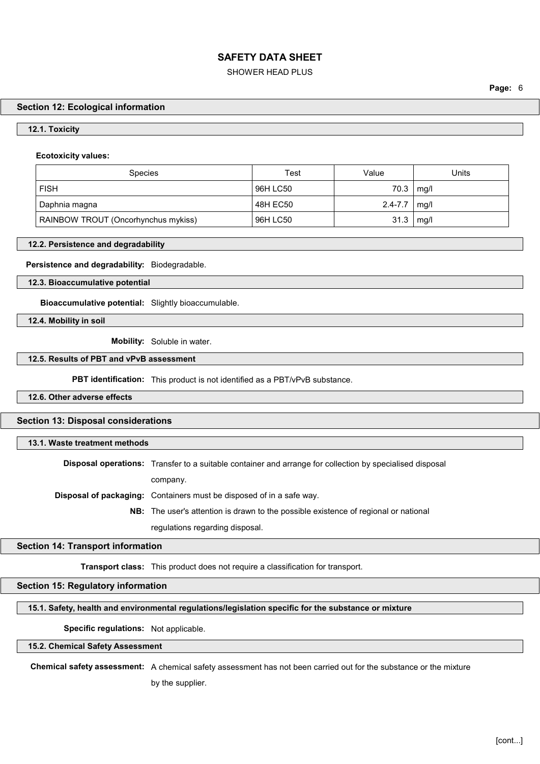#### SHOWER HEAD PLUS

Page: 6

#### Section 12: Ecological information

#### 12.1. Toxicity

#### Ecotoxicity values:

| <b>Species</b>                      | Test     | Value       | Units |
|-------------------------------------|----------|-------------|-------|
| <b>FISH</b>                         | 96H LC50 | 70.3        | mg/l  |
| Daphnia magna                       | 48H EC50 | $2.4 - 7.7$ | mg/l  |
| RAINBOW TROUT (Oncorhynchus mykiss) | 96H LC50 | 31.3        | mg/l  |

#### 12.2. Persistence and degradability

Persistence and degradability: Biodegradable.

12.3. Bioaccumulative potential

Bioaccumulative potential: Slightly bioaccumulable.

12.4. Mobility in soil

Mobility: Soluble in water.

#### 12.5. Results of PBT and vPvB assessment

**PBT identification:** This product is not identified as a PBT/vPvB substance.

12.6. Other adverse effects

#### Section 13: Disposal considerations

13.1. Waste treatment methods

Disposal operations: Transfer to a suitable container and arrange for collection by specialised disposal

company.

Disposal of packaging: Containers must be disposed of in a safe way.

NB: The user's attention is drawn to the possible existence of regional or national regulations regarding disposal.

#### Section 14: Transport information

Transport class: This product does not require a classification for transport.

Section 15: Regulatory information

#### 15.1. Safety, health and environmental regulations/legislation specific for the substance or mixture

Specific regulations: Not applicable.

#### 15.2. Chemical Safety Assessment

Chemical safety assessment: A chemical safety assessment has not been carried out for the substance or the mixture

by the supplier.